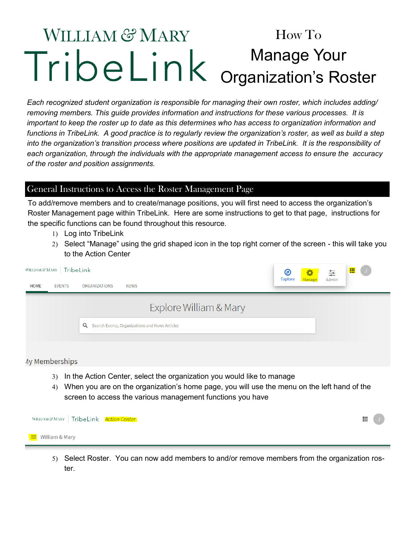## **WILLIAM & MARY** How To Manage Your Organization's Roster

*Each recognized student organization is responsible for managing their own roster, which includes adding/ removing members. This guide provides information and instructions for these various processes. It is important to keep the roster up to date as this determines who has access to organization information and functions in TribeLink. A good practice is to regularly review the organization's roster, as well as build a step into the organization's transition process where positions are updated in TribeLink. It is the responsibility of each organization, through the individuals with the appropriate management access to ensure the accuracy of the roster and position assignments.* 

## General Instructions to Access the Roster Management Page

To add/remove members and to create/manage positions, you will first need to access the organization's Roster Management page within TribeLink. Here are some instructions to get to that page, instructions for the specific functions can be found throughout this resource.

- 1) Log into TribeLink
- 2) Select "Manage" using the grid shaped icon in the top right corner of the screen this will take you to the Action Center

|             | WILLIAM & MARY   TribeLink |                                                  | ◉              | -93    | ₽     | 噩 | $\overline{J}$ |
|-------------|----------------------------|--------------------------------------------------|----------------|--------|-------|---|----------------|
| <b>HOME</b> | <b>EVENTS</b>              | ORGANIZATIONS<br><b>NEWS</b>                     | <b>Explore</b> | Manage | Admin |   |                |
|             |                            | Explore William & Mary                           |                |        |       |   |                |
|             |                            | Q Search Events, Organizations and News Articles |                |        |       |   |                |
|             | Willow borobing            |                                                  |                |        |       |   |                |

- 4y memberships
	- 3) In the Action Center, select the organization you would like to manage
	- When you are on the organization's home page, you will use the menu on the left hand of the screen to access the various management functions you have

| WILLIAM & MARY   TribeLink Action Center | 帯 |  |
|------------------------------------------|---|--|
| $\equiv$ William & Mary                  |   |  |

5) Select Roster. You can now add members to and/or remove members from the organization roster.